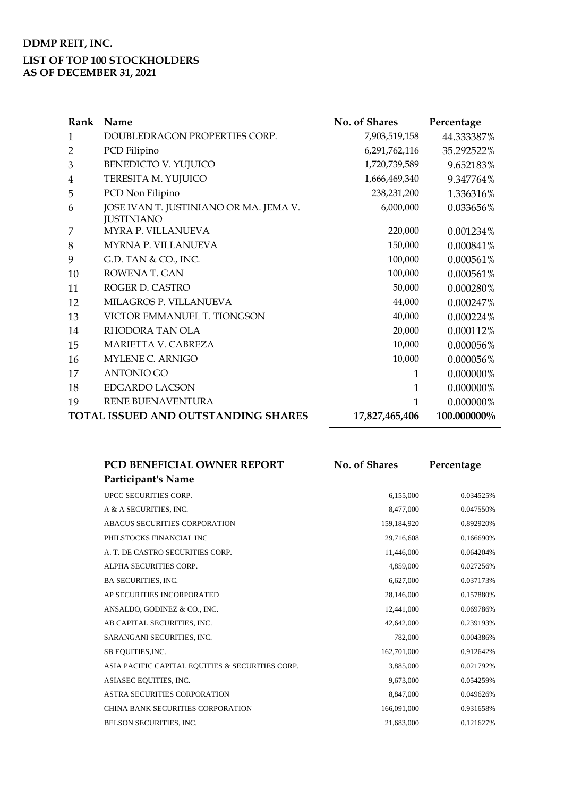| Rank                                       | Name                                                        | No. of Shares  | Percentage  |
|--------------------------------------------|-------------------------------------------------------------|----------------|-------------|
| 1                                          | DOUBLEDRAGON PROPERTIES CORP.                               | 7,903,519,158  | 44.333387%  |
| $\overline{2}$                             | PCD Filipino                                                | 6,291,762,116  | 35.292522%  |
| 3                                          | <b>BENEDICTO V. YUJUICO</b>                                 | 1,720,739,589  | 9.652183%   |
| 4                                          | TERESITA M. YUJUICO                                         | 1,666,469,340  | 9.347764%   |
| 5                                          | PCD Non Filipino                                            | 238,231,200    | 1.336316%   |
| 6                                          | JOSE IVAN T. JUSTINIANO OR MA. JEMA V.<br><b>JUSTINIANO</b> | 6,000,000      | 0.033656%   |
| 7                                          | <b>MYRA P. VILLANUEVA</b>                                   | 220,000        | 0.001234%   |
| 8                                          | MYRNA P. VILLANUEVA                                         | 150,000        | 0.000841%   |
| 9                                          | G.D. TAN & CO., INC.                                        | 100,000        | 0.000561%   |
| 10                                         | ROWENA T. GAN                                               | 100,000        | 0.000561%   |
| 11                                         | ROGER D. CASTRO                                             | 50,000         | 0.000280%   |
| 12                                         | MILAGROS P. VILLANUEVA                                      | 44,000         | 0.000247%   |
| 13                                         | VICTOR EMMANUEL T. TIONGSON                                 | 40,000         | 0.000224%   |
| 14                                         | RHODORA TAN OLA                                             | 20,000         | 0.000112%   |
| 15                                         | MARIETTA V. CABREZA                                         | 10,000         | 0.000056%   |
| 16                                         | MYLENE C. ARNIGO                                            | 10,000         | 0.000056%   |
| 17                                         | <b>ANTONIO GO</b>                                           | 1              | 0.000000%   |
| 18                                         | EDGARDO LACSON                                              | $\mathbf{1}$   | 0.000000%   |
| 19                                         | <b>RENE BUENAVENTURA</b>                                    | 1              | 0.000000%   |
| <b>TOTAL ISSUED AND OUTSTANDING SHARES</b> |                                                             | 17,827,465,406 | 100.000000% |

| PCD BENEFICIAL OWNER REPORT                      | <b>No. of Shares</b> | Percentage |
|--------------------------------------------------|----------------------|------------|
| <b>Participant's Name</b>                        |                      |            |
| UPCC SECURITIES CORP.                            | 6,155,000            | 0.034525%  |
| A & A SECURITIES, INC.                           | 8,477,000            | 0.047550%  |
| ABACUS SECURITIES CORPORATION                    | 159,184,920          | 0.892920%  |
| PHILSTOCKS FINANCIAL INC                         | 29,716,608           | 0.166690%  |
| A. T. DE CASTRO SECURITIES CORP.                 | 11,446,000           | 0.064204%  |
| ALPHA SECURITIES CORP.                           | 4,859,000            | 0.027256%  |
| <b>BA SECURITIES, INC.</b>                       | 6,627,000            | 0.037173%  |
| AP SECURITIES INCORPORATED                       | 28,146,000           | 0.157880%  |
| ANSALDO, GODINEZ & CO., INC.                     | 12,441,000           | 0.069786%  |
| AB CAPITAL SECURITIES, INC.                      | 42,642,000           | 0.239193%  |
| SARANGANI SECURITIES, INC.                       | 782,000              | 0.004386%  |
| SB EQUITIES, INC.                                | 162,701,000          | 0.912642%  |
| ASIA PACIFIC CAPITAL EQUITIES & SECURITIES CORP. | 3,885,000            | 0.021792%  |
| ASIASEC EQUITIES, INC.                           | 9,673,000            | 0.054259%  |
| <b>ASTRA SECURITIES CORPORATION</b>              | 8,847,000            | 0.049626%  |
| CHINA BANK SECURITIES CORPORATION                | 166,091,000          | 0.931658%  |
| BELSON SECURITIES, INC.                          | 21,683,000           | 0.121627%  |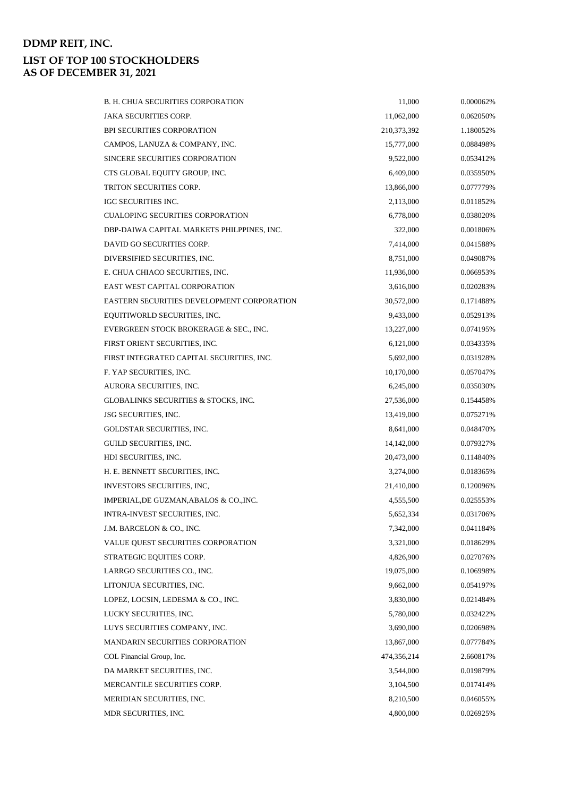| <b>B. H. CHUA SECURITIES CORPORATION</b>   | 11,000      | 0.000062% |
|--------------------------------------------|-------------|-----------|
| <b>JAKA SECURITIES CORP.</b>               | 11,062,000  | 0.062050% |
| <b>BPI SECURITIES CORPORATION</b>          | 210,373,392 | 1.180052% |
| CAMPOS, LANUZA & COMPANY, INC.             | 15,777,000  | 0.088498% |
| SINCERE SECURITIES CORPORATION             | 9,522,000   | 0.053412% |
| CTS GLOBAL EQUITY GROUP, INC.              | 6,409,000   | 0.035950% |
| TRITON SECURITIES CORP.                    | 13,866,000  | 0.077779% |
| <b>IGC SECURITIES INC.</b>                 | 2,113,000   | 0.011852% |
| <b>CUALOPING SECURITIES CORPORATION</b>    | 6,778,000   | 0.038020% |
| DBP-DAIWA CAPITAL MARKETS PHILPPINES, INC. | 322,000     | 0.001806% |
| DAVID GO SECURITIES CORP.                  | 7,414,000   | 0.041588% |
| DIVERSIFIED SECURITIES, INC.               | 8,751,000   | 0.049087% |
| E. CHUA CHIACO SECURITIES, INC.            | 11,936,000  | 0.066953% |
| EAST WEST CAPITAL CORPORATION              | 3,616,000   | 0.020283% |
| EASTERN SECURITIES DEVELOPMENT CORPORATION | 30,572,000  | 0.171488% |
| EQUITIWORLD SECURITIES, INC.               | 9,433,000   | 0.052913% |
| EVERGREEN STOCK BROKERAGE & SEC., INC.     | 13,227,000  | 0.074195% |
| FIRST ORIENT SECURITIES, INC.              | 6,121,000   | 0.034335% |
| FIRST INTEGRATED CAPITAL SECURITIES, INC.  | 5,692,000   | 0.031928% |
| F. YAP SECURITIES, INC.                    | 10,170,000  | 0.057047% |
| AURORA SECURITIES, INC.                    | 6,245,000   | 0.035030% |
| GLOBALINKS SECURITIES & STOCKS, INC.       | 27,536,000  | 0.154458% |
| <b>JSG SECURITIES, INC.</b>                | 13,419,000  | 0.075271% |
| GOLDSTAR SECURITIES, INC.                  | 8,641,000   | 0.048470% |
| GUILD SECURITIES, INC.                     | 14,142,000  | 0.079327% |
| HDI SECURITIES, INC.                       | 20,473,000  | 0.114840% |
| H. E. BENNETT SECURITIES, INC.             | 3,274,000   | 0.018365% |
| INVESTORS SECURITIES, INC.                 | 21,410,000  | 0.120096% |
| IMPERIAL, DE GUZMAN, ABALOS & CO., INC.    | 4,555,500   | 0.025553% |
| INTRA-INVEST SECURITIES, INC.              | 5,652,334   | 0.031706% |
| J.M. BARCELON & CO., INC.                  | 7,342,000   | 0.041184% |
| <b>VALUE QUEST SECURITIES CORPORATION</b>  | 3,321,000   | 0.018629% |
| STRATEGIC EQUITIES CORP.                   | 4,826,900   | 0.027076% |
| LARRGO SECURITIES CO., INC.                | 19,075,000  | 0.106998% |
| LITONJUA SECURITIES, INC.                  | 9,662,000   | 0.054197% |
| LOPEZ, LOCSIN, LEDESMA & CO., INC.         | 3,830,000   | 0.021484% |
| LUCKY SECURITIES, INC.                     | 5,780,000   | 0.032422% |
| LUYS SECURITIES COMPANY, INC.              | 3,690,000   | 0.020698% |
| <b>MANDARIN SECURITIES CORPORATION</b>     | 13,867,000  | 0.077784% |
| COL Financial Group, Inc.                  | 474,356,214 | 2.660817% |
| DA MARKET SECURITIES, INC.                 | 3,544,000   | 0.019879% |
| MERCANTILE SECURITIES CORP.                | 3,104,500   | 0.017414% |
| MERIDIAN SECURITIES, INC.                  | 8,210,500   | 0.046055% |
| MDR SECURITIES, INC.                       | 4,800,000   | 0.026925% |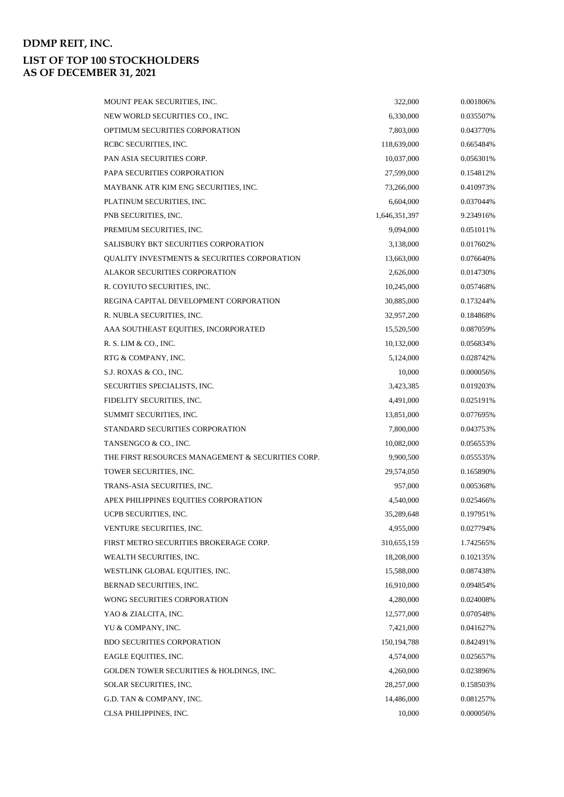| MOUNT PEAK SECURITIES, INC.                       | 322,000       | 0.001806% |
|---------------------------------------------------|---------------|-----------|
| NEW WORLD SECURITIES CO., INC.                    | 6,330,000     | 0.035507% |
| OPTIMUM SECURITIES CORPORATION                    | 7,803,000     | 0.043770% |
| RCBC SECURITIES, INC.                             | 118,639,000   | 0.665484% |
| PAN ASIA SECURITIES CORP.                         | 10,037,000    | 0.056301% |
| PAPA SECURITIES CORPORATION                       | 27,599,000    | 0.154812% |
| MAYBANK ATR KIM ENG SECURITIES, INC.              | 73,266,000    | 0.410973% |
| PLATINUM SECURITIES, INC.                         | 6,604,000     | 0.037044% |
| PNB SECURITIES, INC.                              | 1,646,351,397 | 9.234916% |
| PREMIUM SECURITIES, INC.                          | 9,094,000     | 0.051011% |
| <b>SALISBURY BKT SECURITIES CORPORATION</b>       | 3,138,000     | 0.017602% |
| QUALITY INVESTMENTS & SECURITIES CORPORATION      | 13,663,000    | 0.076640% |
| <b>ALAKOR SECURITIES CORPORATION</b>              | 2,626,000     | 0.014730% |
| R. COYIUTO SECURITIES, INC.                       | 10,245,000    | 0.057468% |
| REGINA CAPITAL DEVELOPMENT CORPORATION            | 30,885,000    | 0.173244% |
| R. NUBLA SECURITIES, INC.                         | 32,957,200    | 0.184868% |
| AAA SOUTHEAST EQUITIES, INCORPORATED              | 15,520,500    | 0.087059% |
| R. S. LIM & CO., INC.                             | 10,132,000    | 0.056834% |
| RTG & COMPANY, INC.                               | 5,124,000     | 0.028742% |
| S.J. ROXAS & CO., INC.                            | 10,000        | 0.000056% |
| SECURITIES SPECIALISTS, INC.                      | 3,423,385     | 0.019203% |
| FIDELITY SECURITIES, INC.                         | 4,491,000     | 0.025191% |
| SUMMIT SECURITIES, INC.                           | 13,851,000    | 0.077695% |
| STANDARD SECURITIES CORPORATION                   | 7,800,000     | 0.043753% |
| TANSENGCO & CO., INC.                             | 10,082,000    | 0.056553% |
| THE FIRST RESOURCES MANAGEMENT & SECURITIES CORP. | 9,900,500     | 0.055535% |
| TOWER SECURITIES, INC.                            | 29,574,050    | 0.165890% |
| TRANS-ASIA SECURITIES, INC.                       | 957,000       | 0.005368% |
| APEX PHILIPPINES EQUITIES CORPORATION             | 4,540,000     | 0.025466% |
| UCPB SECURITIES, INC.                             | 35,289,648    | 0.197951% |
| VENTURE SECURITIES, INC.                          | 4,955,000     | 0.027794% |
| FIRST METRO SECURITIES BROKERAGE CORP.            | 310,655,159   | 1.742565% |
| WEALTH SECURITIES, INC.                           | 18,208,000    | 0.102135% |
| WESTLINK GLOBAL EQUITIES, INC.                    | 15,588,000    | 0.087438% |
| BERNAD SECURITIES, INC.                           | 16,910,000    | 0.094854% |
| WONG SECURITIES CORPORATION                       | 4,280,000     | 0.024008% |
| YAO & ZIALCITA, INC.                              | 12,577,000    | 0.070548% |
| YU & COMPANY, INC.                                | 7,421,000     | 0.041627% |
| <b>BDO SECURITIES CORPORATION</b>                 | 150, 194, 788 | 0.842491% |
| EAGLE EQUITIES, INC.                              | 4,574,000     | 0.025657% |
| GOLDEN TOWER SECURITIES & HOLDINGS, INC.          | 4,260,000     | 0.023896% |
| SOLAR SECURITIES, INC.                            | 28,257,000    | 0.158503% |
| G.D. TAN & COMPANY, INC.                          | 14,486,000    | 0.081257% |
| CLSA PHILIPPINES, INC.                            | 10,000        | 0.000056% |
|                                                   |               |           |